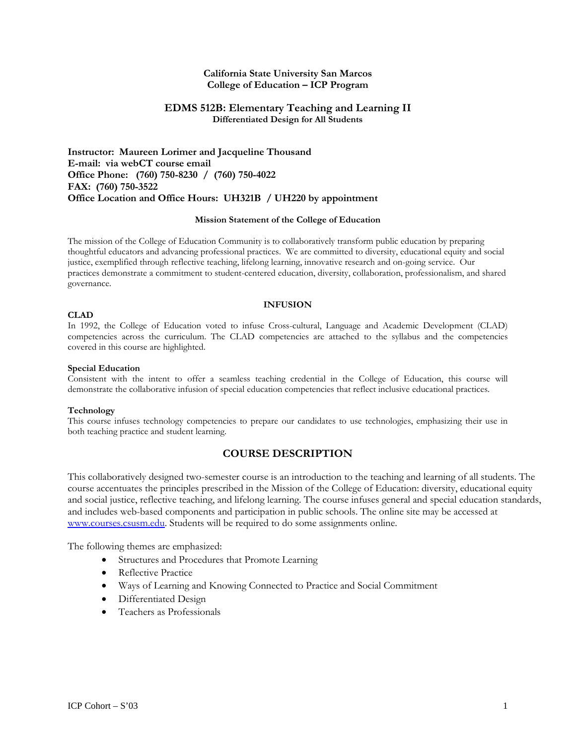## **California State University San Marcos College of Education – ICP Program**

## **EDMS 512B: Elementary Teaching and Learning II Differentiated Design for All Students**

**Instructor: Maureen Lorimer and Jacqueline Thousand E-mail: via webCT course email Office Phone: (760) 750-8230 / (760) 750-4022 FAX: (760) 750-3522 Office Location and Office Hours: UH321B / UH220 by appointment**

#### **Mission Statement of the College of Education**

The mission of the College of Education Community is to collaboratively transform public education by preparing thoughtful educators and advancing professional practices. We are committed to diversity, educational equity and social justice, exemplified through reflective teaching, lifelong learning, innovative research and on-going service. Our practices demonstrate a commitment to student-centered education, diversity, collaboration, professionalism, and shared governance.

#### **INFUSION**

#### **CLAD**

In 1992, the College of Education voted to infuse Cross-cultural, Language and Academic Development (CLAD) competencies across the curriculum. The CLAD competencies are attached to the syllabus and the competencies covered in this course are highlighted.

#### **Special Education**

Consistent with the intent to offer a seamless teaching credential in the College of Education, this course will demonstrate the collaborative infusion of special education competencies that reflect inclusive educational practices.

#### **Technology**

This course infuses technology competencies to prepare our candidates to use technologies, emphasizing their use in both teaching practice and student learning.

# **COURSE DESCRIPTION**

This collaboratively designed two-semester course is an introduction to the teaching and learning of all students. The course accentuates the principles prescribed in the Mission of the College of Education: diversity, educational equity and social justice, reflective teaching, and lifelong learning. The course infuses general and special education standards, and includes web-based components and participation in public schools. The online site may be accessed at [www.courses.csusm.edu.](http://www.courses.csusm.edu/) Students will be required to do some assignments online.

The following themes are emphasized:

- Structures and Procedures that Promote Learning
- Reflective Practice
- Ways of Learning and Knowing Connected to Practice and Social Commitment
- Differentiated Design
- Teachers as Professionals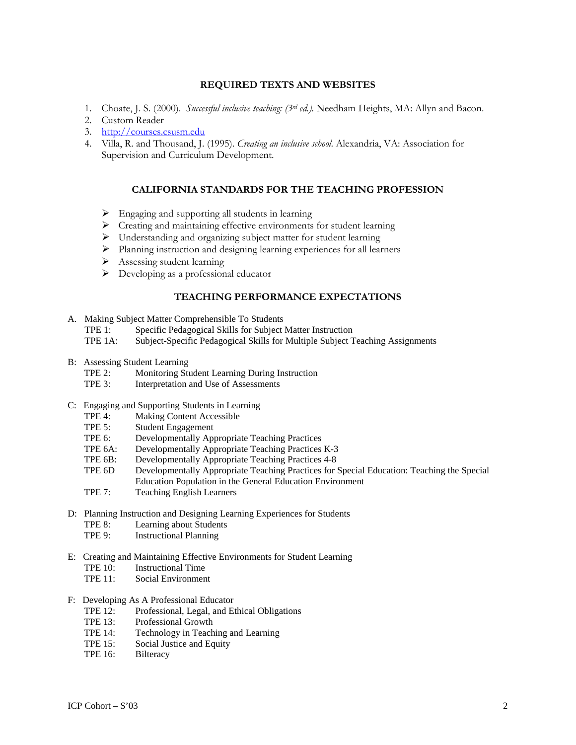## **REQUIRED TEXTS AND WEBSITES**

- 1. Choate, J. S. (2000). *Successful inclusive teaching: (3rd ed.).* Needham Heights, MA: Allyn and Bacon.
- 2. Custom Reader
- 3. [http://courses.csusm.edu](http://courses.csusm.edu/)
- 4. Villa, R. and Thousand, J. (1995). *Creating an inclusive school*. Alexandria, VA: Association for Supervision and Curriculum Development.

## **CALIFORNIA STANDARDS FOR THE TEACHING PROFESSION**

- $\triangleright$  Engaging and supporting all students in learning
- $\triangleright$  Creating and maintaining effective environments for student learning
- Understanding and organizing subject matter for student learning
- Planning instruction and designing learning experiences for all learners
- $\triangleright$  Assessing student learning
- $\triangleright$  Developing as a professional educator

# **TEACHING PERFORMANCE EXPECTATIONS**

- A. Making Subject Matter Comprehensible To Students
	- TPE 1: Specific Pedagogical Skills for Subject Matter Instruction<br>TPE 1A: Subject-Specific Pedagogical Skills for Multiple Subject T
	- Subject-Specific Pedagogical Skills for Multiple Subject Teaching Assignments
- B: Assessing Student Learning<br>TPE 2: Monitoring Stu
	- TPE 2: Monitoring Student Learning During Instruction<br>TPE 3: Interpretation and Use of Assessments
	- Interpretation and Use of Assessments
- C: Engaging and Supporting Students in Learning
	- TPE 4: Making Content Accessible
	- TPE 5: Student Engagement
	- TPE 6: Developmentally Appropriate Teaching Practices
	- TPE 6A: Developmentally Appropriate Teaching Practices K-3
	- TPE 6B: Developmentally Appropriate Teaching Practices 4-8<br>TPE 6D Developmentally Appropriate Teaching Practices for
	- Developmentally Appropriate Teaching Practices for Special Education: Teaching the Special Education Population in the General Education Environment
	- TPE 7: Teaching English Learners
- D: Planning Instruction and Designing Learning Experiences for Students TPE 8: Learning about Students<br>
TPE 9: Instructional Planning **Instructional Planning**
- E: Creating and Maintaining Effective Environments for Student Learning
	- TPE 10: Instructional Time
	- TPE 11: Social Environment
- F: Developing As A Professional Educator
	- TPE 12: Professional, Legal, and Ethical Obligations
	- TPE 13: Professional Growth
	- TPE 14: Technology in Teaching and Learning
	- TPE 15: Social Justice and Equity
	- TPE 16: Bilteracy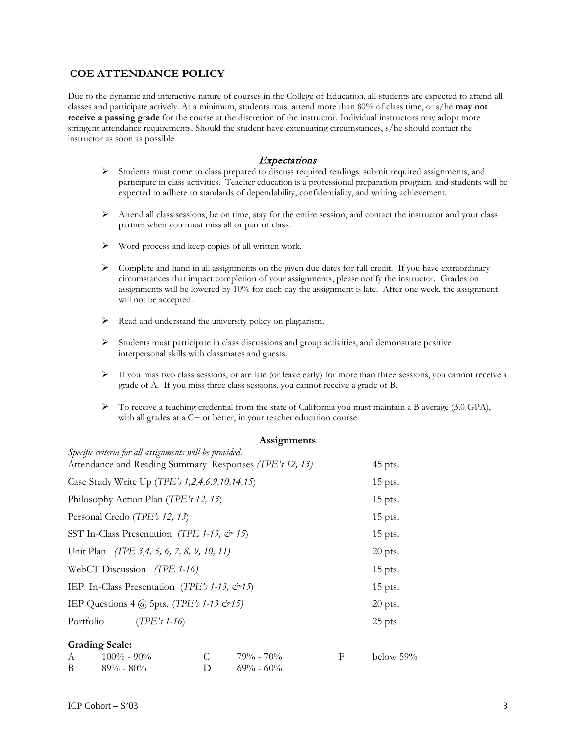# **COE ATTENDANCE POLICY**

Due to the dynamic and interactive nature of courses in the College of Education, all students are expected to attend all classes and participate actively. At a minimum, students must attend more than 80% of class time, or s/he **may not receive a passing grade** for the course at the discretion of the instructor. Individual instructors may adopt more stringent attendance requirements. Should the student have extenuating circumstances, s/he should contact the instructor as soon as possible

# **Expectations**

- $\triangleright$  Students must come to class prepared to discuss required readings, submit required assignments, and participate in class activities. Teacher education is a professional preparation program, and students will be expected to adhere to standards of dependability, confidentiality, and writing achievement.
- $\triangleright$  Attend all class sessions, be on time, stay for the entire session, and contact the instructor and your class partner when you must miss all or part of class.
- Word-process and keep copies of all written work.
- Complete and hand in all assignments on the given due dates for full credit. If you have extraordinary circumstances that impact completion of your assignments, please notify the instructor. Grades on assignments will be lowered by 10% for each day the assignment is late. After one week, the assignment will not be accepted.
- $\triangleright$  Read and understand the university policy on plagiarism.
- $\triangleright$  Students must participate in class discussions and group activities, and demonstrate positive interpersonal skills with classmates and guests.
- $\triangleright$  If you miss two class sessions, or are late (or leave early) for more than three sessions, you cannot receive a grade of A. If you miss three class sessions, you cannot receive a grade of B.
- $\triangleright$  To receive a teaching credential from the state of California you must maintain a B average (3.0 GPA), with all grades at a C+ or better, in your teacher education course

## **Assignments**

| Specific criteria for all assignments will be provided.<br>Attendance and Reading Summary Responses (TPE's 12, 13) |           |               |   | 45 pts.      |
|--------------------------------------------------------------------------------------------------------------------|-----------|---------------|---|--------------|
| Case Study Write Up (TPE's 1,2,4,6,9,10,14,15)                                                                     |           |               |   | $15$ pts.    |
| Philosophy Action Plan (TPE's 12, 13)                                                                              |           |               |   | $15$ pts.    |
| Personal Credo (TPE's 12, 13)                                                                                      |           | $15$ pts.     |   |              |
| SST In-Class Presentation (TPE 1-13, $\mathcal{Q}$ 15)                                                             |           |               |   | $15$ pts.    |
| Unit Plan (TPE 3,4, 5, 6, 7, 8, 9, 10, 11)                                                                         |           |               |   | $20$ pts.    |
| WebCT Discussion (TPE 1-16)                                                                                        | $15$ pts. |               |   |              |
| IEP In-Class Presentation (TPE's 1-13, &15)                                                                        |           | $15$ pts.     |   |              |
| IEP Questions 4 $\omega$ 5pts. (TPE's 1-13 $\dot{\varnothing}$ 15)                                                 | $20$ pts. |               |   |              |
| Portfolio $(TPE's 1-16)$                                                                                           |           |               |   | 25 pts       |
| <b>Grading Scale:</b>                                                                                              |           |               |   |              |
| $100\% - 90\%$<br>A                                                                                                | C         | $79\% - 70\%$ | F | below $59\%$ |
| B<br>$89\% - 80\%$                                                                                                 | D         | $69\% - 60\%$ |   |              |